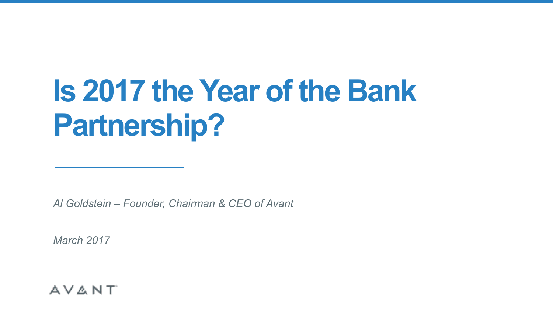# **Is 2017 the Year of the Bank Partnership?**

*Al Goldstein – Founder, Chairman & CEO of Avant* 

*March 2017*

#### AVANT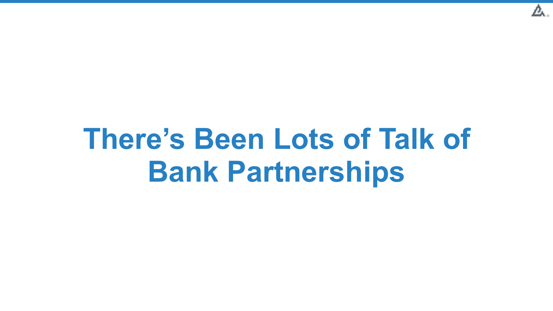

### **There's Been Lots of Talk of Bank Partnerships**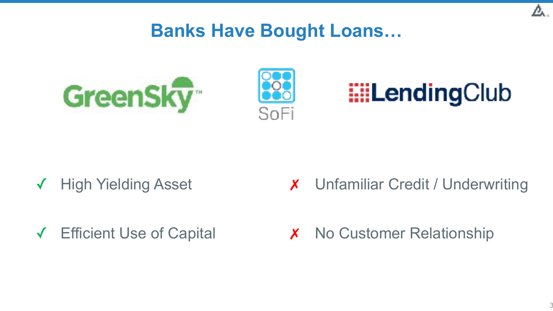#### **Banks Have Bought Loans…**







- ✓ High Yielding Asset
- ✓ Efficient Use of Capital

✗ Unfamiliar Credit / Underwriting

**X** No Customer Relationship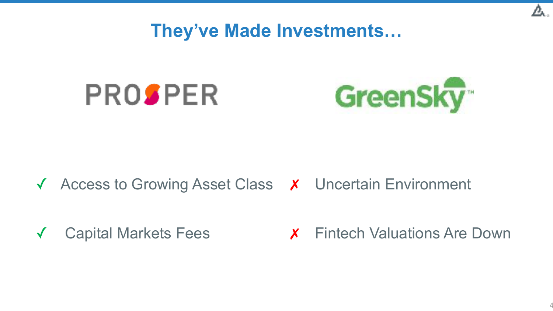**They've Made Investments…**





#### ✓ Access to Growing Asset Class ✗ Uncertain Environment

✓ Capital Markets Fees

✗ Fintech Valuations Are Down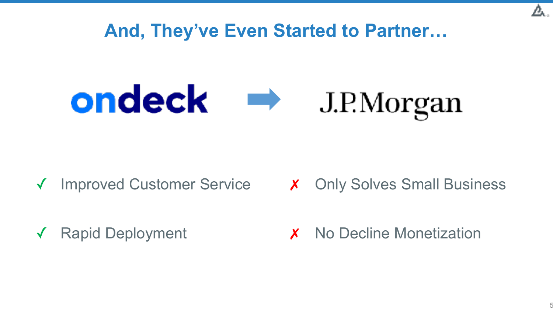



✓ Improved Customer Service

Rapid Deployment

✗ Only Solves Small Business

**x** No Decline Monetization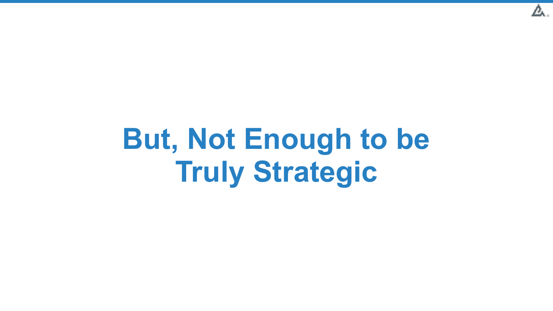

### **But, Not Enough to be Truly Strategic**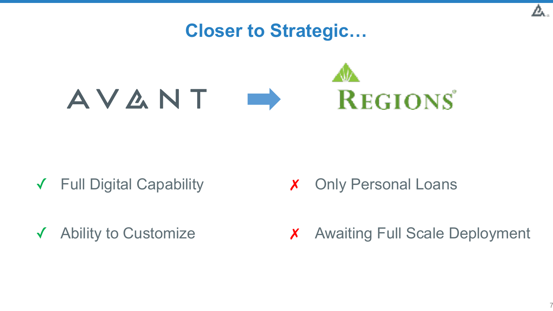

- ✓ Full Digital Capability
- ✓ Ability to Customize

✗ Only Personal Loans

✗ Awaiting Full Scale Deployment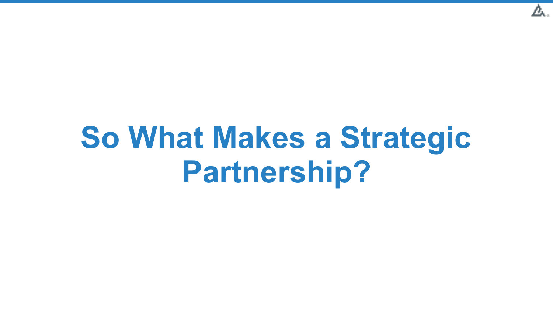

# **So What Makes a Strategic Partnership?**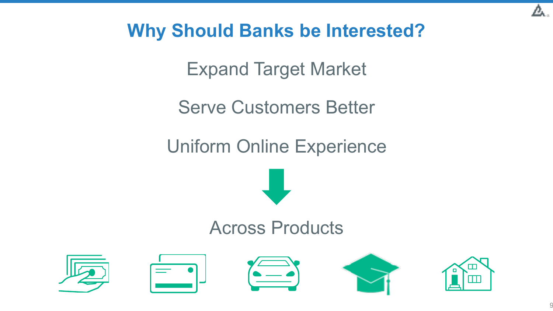

### **Why Should Banks be Interested?**

Expand Target Market

Serve Customers Better

Uniform Online Experience



### Across Products

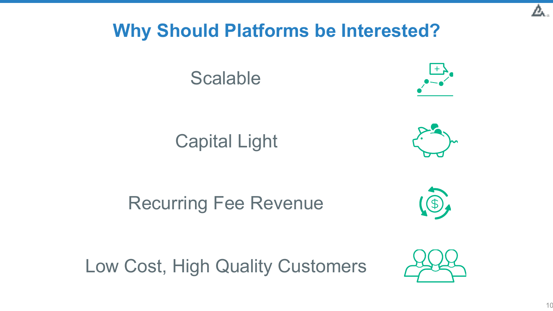#### **Why Should Platforms be Interested?**





Capital Light



### Recurring Fee Revenue



Low Cost, High Quality Customers

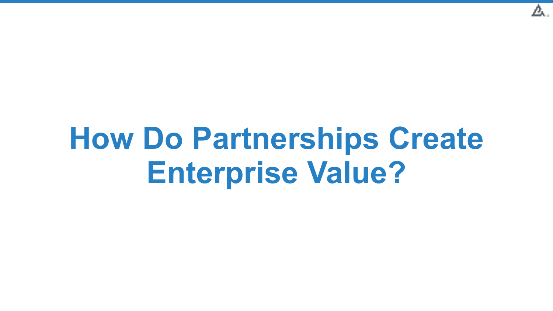

# **How Do Partnerships Create Enterprise Value?**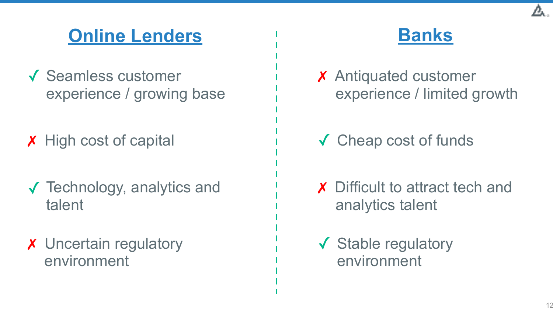### **Online Lenders Banks**

- ✓ Seamless customer experience / growing base
- ✗ High cost of capital
- ✓ Technology, analytics and talent
- **X** Uncertain regulatory environment



- ✗ Antiquated customer experience / limited growth
- ✓ Cheap cost of funds
- **X** Difficult to attract tech and analytics talent
- ✓ Stable regulatory environment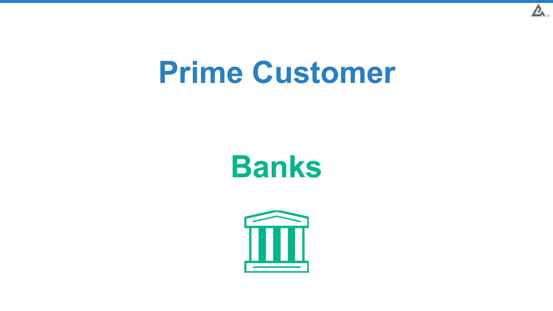

### **Prime Customer**

### **Banks**

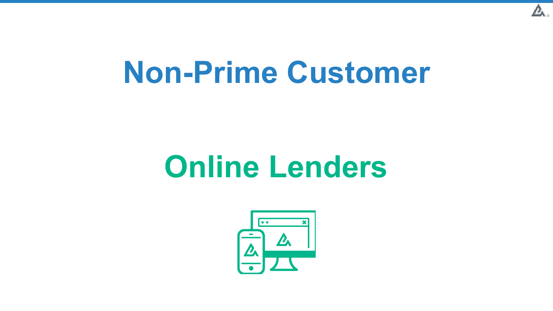

### **Non-Prime Customer**

### **Online Lenders**

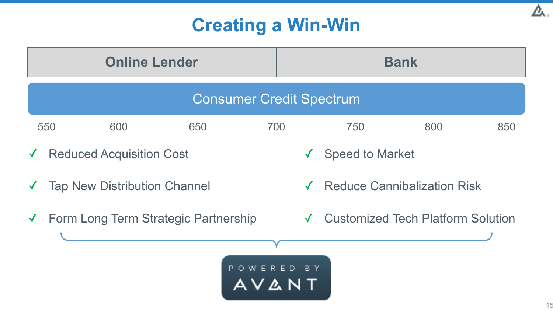### **Creating a Win-Win**

| <b>Online Lender</b>                               |                                 |     |     |     | <b>Bank</b>                        |                                          |     |     |
|----------------------------------------------------|---------------------------------|-----|-----|-----|------------------------------------|------------------------------------------|-----|-----|
| <b>Consumer Credit Spectrum</b>                    |                                 |     |     |     |                                    |                                          |     |     |
|                                                    | 550                             | 600 | 650 | 700 |                                    | 750                                      | 800 | 850 |
| $\sqrt{ }$                                         | <b>Reduced Acquisition Cost</b> |     |     |     | $\checkmark$                       | <b>Speed to Market</b>                   |     |     |
| <b>Tap New Distribution Channel</b>                |                                 |     |     |     | <b>Reduce Cannibalization Risk</b> |                                          |     |     |
| Form Long Term Strategic Partnership<br>$\sqrt{ }$ |                                 |     |     |     |                                    | <b>Customized Tech Platform Solution</b> |     |     |
|                                                    |                                 |     |     |     |                                    |                                          |     |     |
| POWERED BY<br>A V A N T                            |                                 |     |     |     |                                    |                                          |     |     |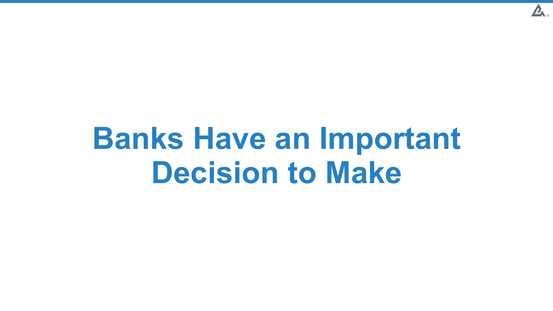

### **Banks Have an Important Decision to Make**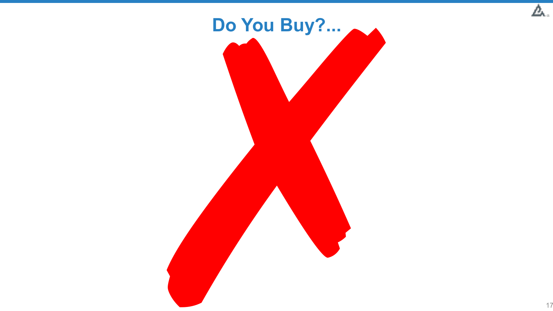

Δ.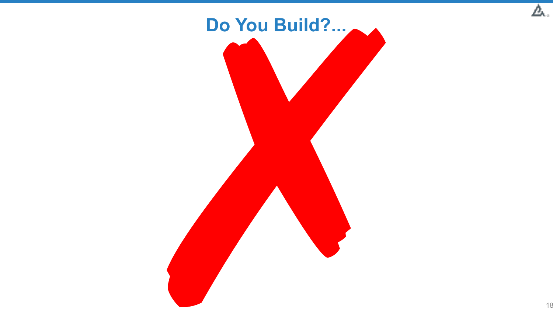

Δ.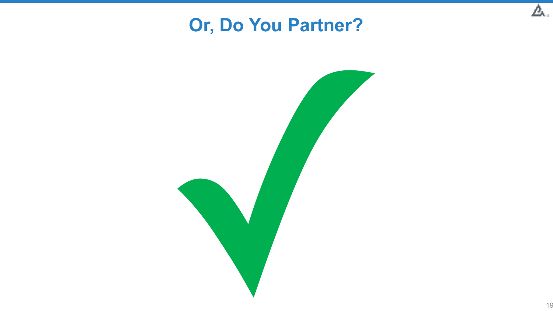### **Or, Do You Partner?**



Д.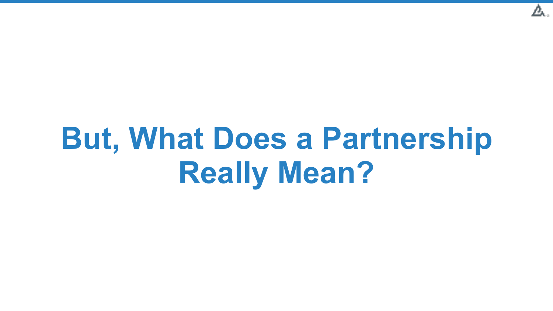

# **But, What Does a Partnership Really Mean?**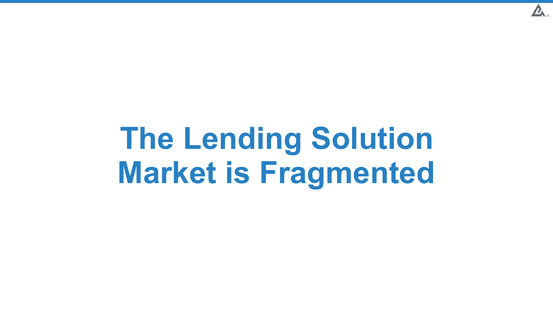

# **The Lending Solution Market is Fragmented**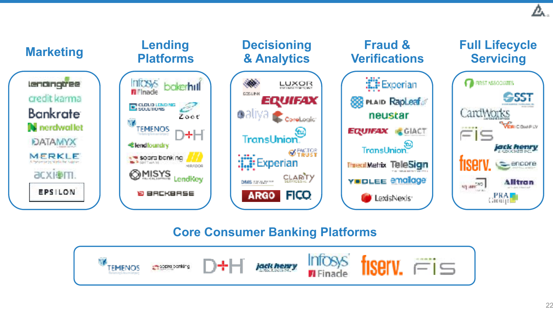

#### **Core Consumer Banking Platforms**

![](_page_21_Picture_2.jpeg)

Д.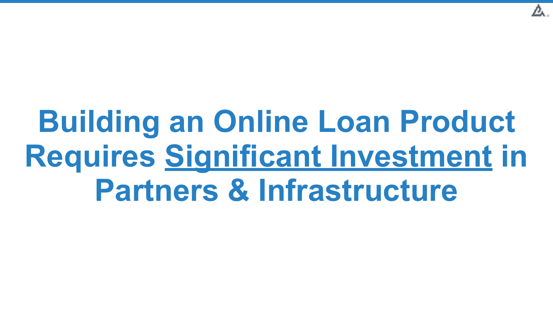![](_page_22_Picture_0.jpeg)

# **Building an Online Loan Product Requires Significant Investment in Partners & Infrastructure**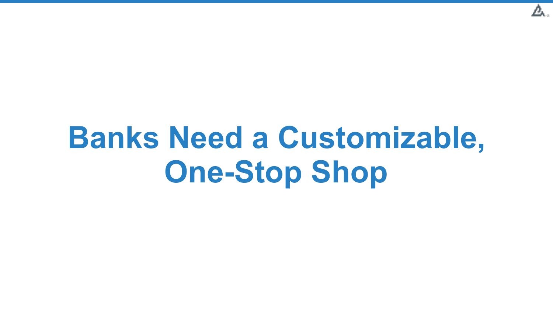![](_page_23_Picture_0.jpeg)

# **Banks Need a Customizable, One-Stop Shop**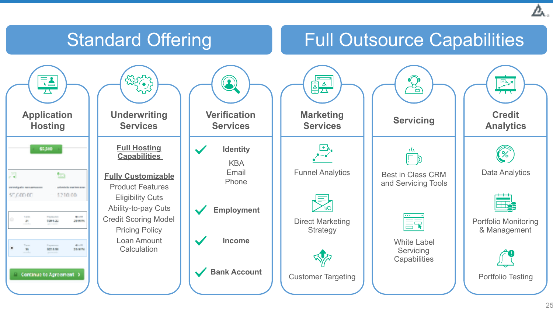### Standard Offering Full Outsource Capabilities

![](_page_24_Figure_2.jpeg)

![](_page_24_Picture_3.jpeg)

![](_page_24_Picture_4.jpeg)

**Verification Services**

**Identity**  $\blacktriangleright$ 

KBA Email Phone

**Employment**

**Income**

![](_page_24_Picture_11.jpeg)

![](_page_24_Picture_12.jpeg)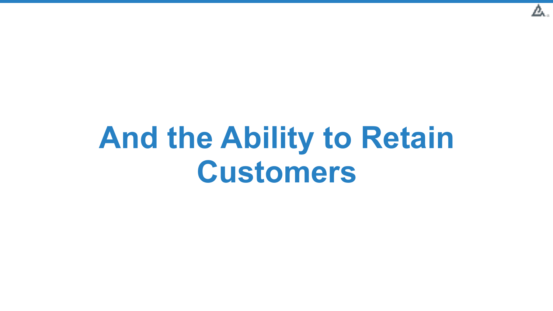![](_page_25_Picture_0.jpeg)

### **And the Ability to Retain Customers**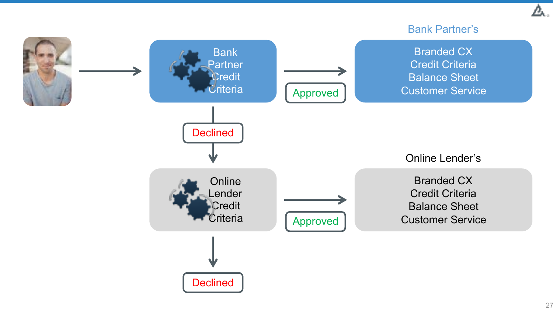#### Bank Partner's

![](_page_26_Figure_2.jpeg)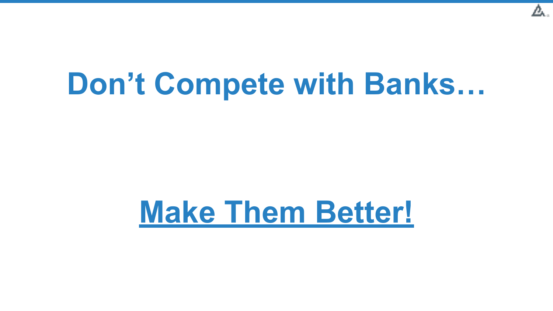![](_page_27_Picture_0.jpeg)

### **Don't Compete with Banks…**

### **Make Them Better!**